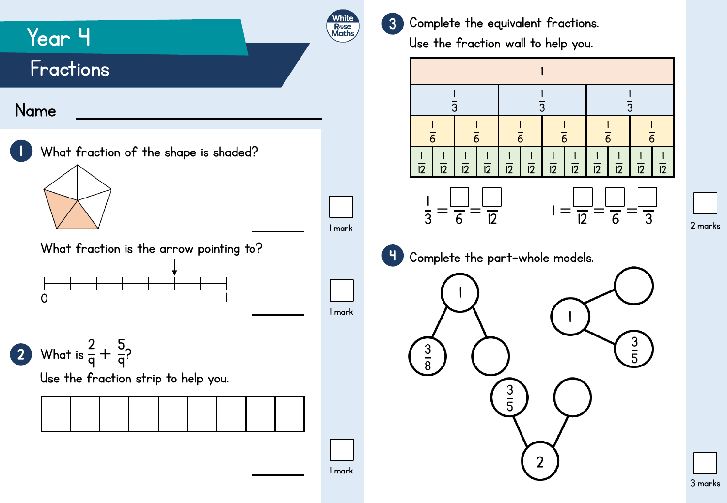

|<br>| 

> $\overline{12}$

|<br>|  $\overline{12}$ 

3 marks